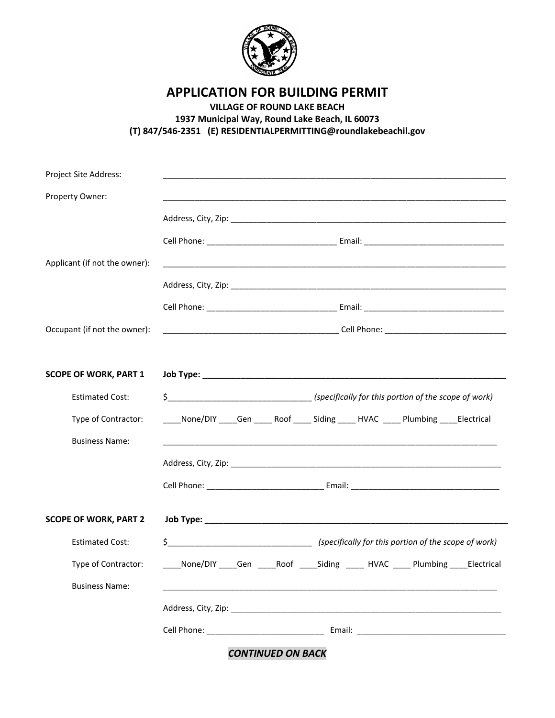

**APPLICATION FOR BUILDING PERMIT** 

**VILLAGE OF ROUND LAKE BEACH 1937 Municipal Way, Round Lake Beach, IL 60073 (T) 847/546-2351 (E) RESIDENTIALPERMITTING@roundlakebeachil.gov** 

| Project Site Address:         |                                                                                           |
|-------------------------------|-------------------------------------------------------------------------------------------|
| Property Owner:               |                                                                                           |
|                               |                                                                                           |
|                               |                                                                                           |
| Applicant (if not the owner): |                                                                                           |
|                               |                                                                                           |
|                               |                                                                                           |
| Occupant (if not the owner):  |                                                                                           |
| <b>SCOPE OF WORK, PART 1</b>  |                                                                                           |
| <b>Estimated Cost:</b>        | \$___________________________________(specifically for this portion of the scope of work) |
| Type of Contractor:           | ____None/DIY ____Gen ____ Roof ____ Siding ____ HVAC ____ Plumbing ____Electrical         |
| <b>Business Name:</b>         |                                                                                           |
|                               |                                                                                           |
|                               |                                                                                           |
| <b>SCOPE OF WORK, PART 2</b>  |                                                                                           |
| <b>Estimated Cost:</b>        |                                                                                           |
| Type of Contractor:           | ____None/DIY ____Gen _____Roof _____Siding _____ HVAC _____ Plumbing ____Electrical       |
| <b>Business Name:</b>         |                                                                                           |
|                               |                                                                                           |
|                               |                                                                                           |
|                               |                                                                                           |

*CONTINUED ON BACK*